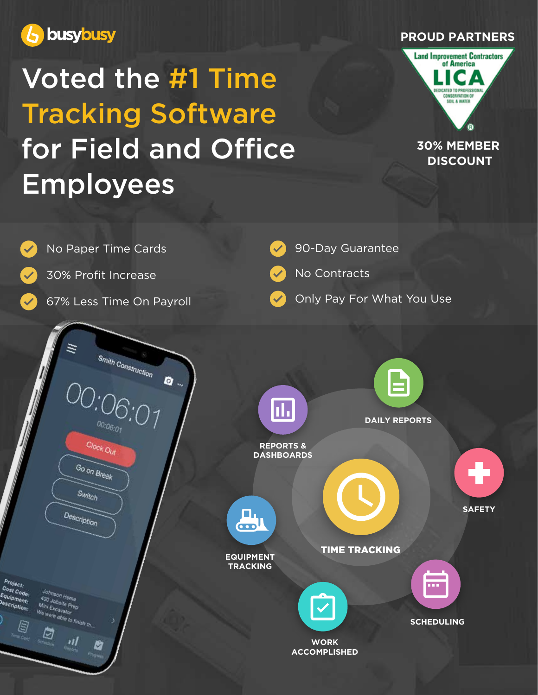

## Voted the #1 Time Tracking Software for Field and Office Employees





### **30% MEMBER DISCOUNT**